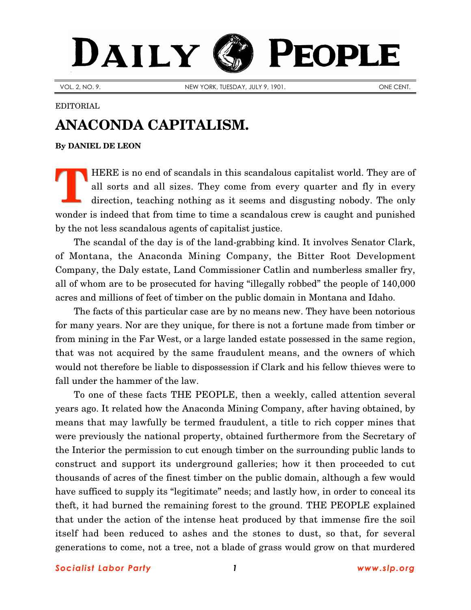## DAILY PEOPLE

VOL. 2, NO. 9. NEW YORK, TUESDAY, JULY 9, 1901. ONE CENT.

## EDITORIAL

## **ANACONDA CAPITALISM.**

**By [DANIEL DE LEON](http://www.slp.org/De_Leon.htm)**

HERE is no end of scandals in this scandalous capitalist world. They are of all sorts and all sizes. They come from every quarter and fly in every direction, teaching nothing as it seems and disgusting nobody. The only wonder is indeed that from time to time a scandalous crew is caught and punished by the not less scandalous agents of capitalist justice. **T**

The scandal of the day is of the land-grabbing kind. It involves Senator Clark, of Montana, the Anaconda Mining Company, the Bitter Root Development Company, the Daly estate, Land Commissioner Catlin and numberless smaller fry, all of whom are to be prosecuted for having "illegally robbed" the people of 140,000 acres and millions of feet of timber on the public domain in Montana and Idaho.

The facts of this particular case are by no means new. They have been notorious for many years. Nor are they unique, for there is not a fortune made from timber or from mining in the Far West, or a large landed estate possessed in the same region, that was not acquired by the same fraudulent means, and the owners of which would not therefore be liable to dispossession if Clark and his fellow thieves were to fall under the hammer of the law.

To one of these facts THE PEOPLE, then a weekly, called attention several years ago. It related how the Anaconda Mining Company, after having obtained, by means that may lawfully be termed fraudulent, a title to rich copper mines that were previously the national property, obtained furthermore from the Secretary of the Interior the permission to cut enough timber on the surrounding public lands to construct and support its underground galleries; how it then proceeded to cut thousands of acres of the finest timber on the public domain, although a few would have sufficed to supply its "legitimate" needs; and lastly how, in order to conceal its theft, it had burned the remaining forest to the ground. THE PEOPLE explained that under the action of the intense heat produced by that immense fire the soil itself had been reduced to ashes and the stones to dust, so that, for several generations to come, not a tree, not a blade of grass would grow on that murdered

*Socialist Labor Party 1 [www.slp.org](http://www.slp.org/)*